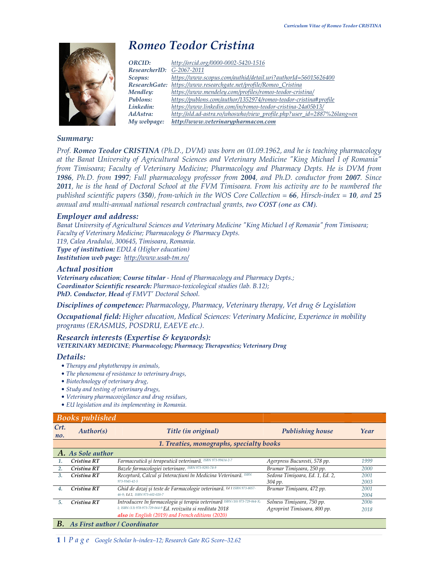

# *Romeo Teodor Cristina*

| http://old.ad-astra.ro/whoswho/view_profile.php?user_id=2887%26lang=en |
|------------------------------------------------------------------------|
|                                                                        |
|                                                                        |

## *Summary:*

*Prof. Romeo Teodor CRISTINA (Ph.D., DVM) was born on 01.09.1962, and he is teaching pharmacology at the Banat University of Agricultural Sciences and Veterinary Medicine "King Michael I of Romania" from Timisoara; Faculty of Veterinary Medicine; Pharmacology and Pharmacy Depts. He is DVM from 1986, Ph.D. from 1997; Full pharmacology professor from 2004, and Ph.D. conductor from 2007. Since 2011, he is the head of Doctoral School at the FVM Timisoara. From his activity are to be numbered the published scientific papers (350), from-which in the WOS Core Collection = 66, Hirsch-index = 10, and 25 annual and multi-annual national research contractual grants, two COST (one as CM).* 

### *Employer and address:*

*Banat University of Agricultural Sciences and Veterinary Medicine "King Michael I of Romania" from Timisoara; Faculty of Veterinary Medicine; Pharmacology & Pharmacy Depts. 119, Calea Aradului, 300645, Timisoara, Romania.* 

*Type of institution: EDU.4 (Higher education) Institution web page: http://www.usab-tm.ro/*

### *Actual position*

*Veterinary education; Course titular - Head of Pharmacology and Pharmacy Depts.; Coordinator Scientific research: Pharmaco-toxicological studies (lab. B.12); PhD. Conductor, Head of FMVT' Doctoral School.* 

*Disciplines of competence: Pharmacology, Pharmacy, Veterinary therapy, Vet drug & Legislation*

*Occupational field: Higher education, Medical Sciences: Veterinary Medicine, Experience in mobility programs (ERASMUS, POSDRU, EAEVE etc.).*

# *Research interests (Expertise & keywords): VETERINARY MEDICINE; Pharmacology; Pharmacy; Therapeutics; Veterinary Drug*

### *Details:*

- *Therapy and phytotherapy in animals,*
- *The phenomena of resistance to veterinary drugs,*
- *Biotechnology of veterinary drug,*
- *Study and testing of veterinary drugs,*
- *Veterinary pharmacovigilance and drug residues,*
- *EU legislation and its implementing in Romania.*

# *Books published*

| Crt.<br>no. | Author(s)                                | Title (in original)                                                        | <b>Publishing house</b>         | Year |  |  |  |  |  |  |
|-------------|------------------------------------------|----------------------------------------------------------------------------|---------------------------------|------|--|--|--|--|--|--|
|             | 1. Treaties, monographs, specialty books |                                                                            |                                 |      |  |  |  |  |  |  |
|             | A. As Sole author                        |                                                                            |                                 |      |  |  |  |  |  |  |
| 1.          | Cristina RT                              | Farmaceutică și terapeutică veterinară. ISBN 973-99414-2-7                 | Agerpress Bucuresti, 578 pp.    | 1999 |  |  |  |  |  |  |
| 2.          | Cristina RT                              | Bazele farmacologiei veterinare. ISBN 973-9295-78-9                        | Brumar Timisoara, 250 pp.       | 2000 |  |  |  |  |  |  |
| 3.          | Cristina RT                              | Receptură, Calcul și Interacțiuni în Medicina Veterinară. ISBN             | Sedona Timisoara, Ed. 1, Ed. 2, | 2001 |  |  |  |  |  |  |
|             |                                          | 973-9345-42-5                                                              | 304 pp.                         | 2003 |  |  |  |  |  |  |
| 4.          | Cristina RT                              | Ghid de dozaj și teste de Farmacologie veterinară. Ed 1 ISBN 973-8057-     | Brumar Timişoara, 472 pp.       | 2001 |  |  |  |  |  |  |
|             |                                          | 46-9; Ed 2, ISBN 973-602-020-7                                             |                                 | 2004 |  |  |  |  |  |  |
| 5.          | Cristina RT                              | Introducere în farmacologia și terapia veterinară ISBN (10) 973-729-064-X; | Solness Timişoara, 750 pp.      | 2006 |  |  |  |  |  |  |
|             |                                          | I; ISBN (13) 978-973-729-064-9 Ed. revizuita si reeditata 2018             | Agroprint Timisoara, 800 pp.    | 2018 |  |  |  |  |  |  |
|             |                                          | also in English (2019) and French editions (2020)                          |                                 |      |  |  |  |  |  |  |
| В.          | As First author / Coordinator            |                                                                            |                                 |      |  |  |  |  |  |  |

### **1 |** *P a g e Google Scholar h–index–12; Research Gate RG Score–32.62*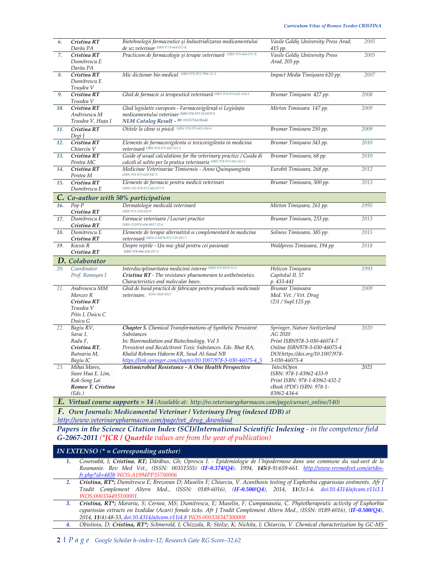| 6.  | Cristina RT<br>Darău PA                                                              | Biotehnologii farmaceutice și Industrializarea medicamentului<br>de uz veterinar ISBN 973-664-072-8;                                                                                                                                                                                                        | Vasile Goldiş University Press Arad;<br>415 pp.                                                                                                             | 2005 |
|-----|--------------------------------------------------------------------------------------|-------------------------------------------------------------------------------------------------------------------------------------------------------------------------------------------------------------------------------------------------------------------------------------------------------------|-------------------------------------------------------------------------------------------------------------------------------------------------------------|------|
| 7.  | Cristina RT<br>Dumitrescu E<br>Darău PA                                              | Practicum de farmacologie și terapie veterinară ISBN 973-664-071-X                                                                                                                                                                                                                                          | Vasile Goldis University Press<br>Arad, 205 pp.                                                                                                             | 2005 |
| 8.  | Cristina RT<br>Dumitrescu E<br>Teuşdea V                                             | Mic dictionar bio-medical ISBN 978-973-7996-21-3                                                                                                                                                                                                                                                            | Impact Media Timişoara 620 pp.                                                                                                                              | 2007 |
| 9.  | Cristina RT<br>Teusdea V                                                             | Ghid de farmacie si terapeutică veterinară ISBN 978-973-602-354-5                                                                                                                                                                                                                                           | Brumar Timişoara 427 pp.                                                                                                                                    | 2008 |
| 10. | Cristina RT<br>Andresescu M<br>Teusdea V, Huțu I                                     | Ghid legislativ european - Farmacovigilență si Legislația<br>medicamentului veterinar ISBN 978-973-52-0579-9<br>NLM Catalog Result - ID: 101557164 [Book]                                                                                                                                                   | Mirton Timisoara 147 pp.                                                                                                                                    | 2009 |
| 11. | Cristina RT<br>Degi J                                                                | Otitele la câine si pisică ISBN 978-973-602-456-6                                                                                                                                                                                                                                                           | Brumar Timisoara 250 pp.                                                                                                                                    | 2009 |
| 12. | Cristina RT<br>Chiurciu V                                                            | Elemente de farmacovigilenta si toxicovigilenta in medicina<br>veterinară ISBN 978-973-602-521-1                                                                                                                                                                                                            | Brumar Timişoara 343 pp.                                                                                                                                    | 2010 |
| 13. | Cristina RT<br>Pentea MC                                                             | Guide of usual calculations for the veterinary practice / Guida di<br>calcoli al solito per la pratica veterinaria ISBN 978-973-602-563-1                                                                                                                                                                   | Brumar Timisoara, 68 pp.                                                                                                                                    | 2010 |
| 14. | Cristina RT<br>Pentea M                                                              | Medicinae Veterinariae Timisensis - Anno Quinquanginta<br>ISBN 978-973-620-947-5                                                                                                                                                                                                                            | Eurobit Timisoara, 268 pp.                                                                                                                                  | 2012 |
| 15. | Cristina RT<br>Dumitrescu E                                                          | Elemente de farmacie pentru medicii veterinari<br>ISBN (13) 978-973-602-877-9                                                                                                                                                                                                                               | Brumar Timisoara, 500 pp.                                                                                                                                   | 2013 |
| C.  |                                                                                      | Co-author with 50% participation                                                                                                                                                                                                                                                                            |                                                                                                                                                             |      |
| 16. | Pop P<br>Cristina RT                                                                 | Dermatologie medicală veterinară<br>ISBN 973-578-025-9                                                                                                                                                                                                                                                      | Mirton Timişoara, 261 pp.                                                                                                                                   | 1995 |
| 17. | Dumitrescu E<br>Cristina RT                                                          | Farmacie veterinara / Lucrari practice<br>ISBN (13)978-606-8037-22-6                                                                                                                                                                                                                                        | Brumar Timisoara, 233 pp.                                                                                                                                   | 2013 |
| 18. | Dumitrescu E<br>Cristina RT                                                          | Elemente de terapie alternativă si complementară în medicina<br>veterinară ISBN (13)978-973-729-451-7                                                                                                                                                                                                       | Solness Timisoara, 385 pp.                                                                                                                                  | 2015 |
| 19. | Kocsis R<br>Cristina RT                                                              | Despre reptile - Un mic ghid pentru cei pasionați<br>ISBN 978-606-614-217-5                                                                                                                                                                                                                                 | Waldpress Timisoara, 194 pp                                                                                                                                 | 2018 |
|     | <b>D.</b> Colaborator                                                                |                                                                                                                                                                                                                                                                                                             |                                                                                                                                                             |      |
| 20. | Coordinator<br>Prof. Romoşan I                                                       | Interdisciplinaritatea medicinii interne ISBN 973-9159-12-5<br>Cristina RT - The resistance phaenomenon to anthelmintics.<br>Characteristics and molecular bases.                                                                                                                                           | Helicon Timişoara<br>Capitolul II. 57<br>p. 433-441                                                                                                         | 1993 |
| 21. | Andresescu MM<br>Morcov R<br>Cristina RT<br>Teusdea V<br>Pitis I, Duicu C<br>Duicu G | Ghid de bună practică de fabricație pentru produsele medicinale<br>veterinare. ISSN 1843-9527                                                                                                                                                                                                               | Brumar Timisoara<br>Med. Vet. / Vet. Drug<br>(2)1 / Supl.125 pp.                                                                                            | 2009 |
| 22. | Bagiu RV,<br>Sarac I,<br>Radu F,<br>Cristina RT,<br>Butnariu M,<br>Bagiu IC          | <b>Chapter 5.</b> Chemical Transformations of Synthetic Persistent<br>Substances<br>In: Bioremediation and Biotechnology, Vol 3<br>Persistent and Recalcitrant Toxic Substances. Eds. Bhat RA,<br>Khalid Rehman Hakeem KR, Saud Al-Saud NB<br>https://link.springer.com/chapter/10.1007/978-3-030-46075-4_5 | Springer, Nature Switzerland<br>AG 2020<br>Print ISBN978-3-030-46074-7<br>Online ISBN978-3-030-46075-4<br>DOI:https://doi.org/10.1007/978-<br>3-030-46075-4 | 2020 |
| 23. | Mihai Mares,<br>Swee Hua E. Lim,<br>Kok-Song Lai<br>Romeo T. Cristina<br>(Eds.)      | Antimicrobial Resistance - A One Health Perspective<br><b>E.</b> Virtual course supports = 14 (Available at: http://ro.veterinarypharmacon.com/page/cursuri_online/140)                                                                                                                                     | <i>IntechOpen</i><br>ISBN: 978-1-83962-433-9<br>Print ISBN: 978-1-83962-432-2<br>eBook (PDF) ISBN: 978-1-<br>83962-434-6                                    | 2021 |

*F. Own Journals: Medicamentul Veterinar / Veterinary Drug (indexed IDB) at*

*http://www.veterinarypharmacon.com/page/vet\_drug\_download*

Papers in the Science Citation Index (SCI)/International Scientific Indexing - in the competence field *G-2067-2011 (\*JCR / Quartile values are from the year of publication)*

### *IN EXTENSO (\* = Corresponding author)*

- *1. Cosoroabă, I; Cristina, RT; Dărăbus, Gh; Oprescu I. Epidemiologie de l'hipodermose dans une commune du sud-oest de la Roumanie. Rev Med Vet., (ISSN: 00351555) (IF-0.374/Q4), 1994, 145(8-9):659-661. http://www.revmedvet.com/artdesfr.php?id=483b WOS:A1994PP35700006*
- *2. Cristina, RT\*; Dumitrescu E; Brezovan D; Muselin F; Chiurciu, V. Acanthosis testing of Euphorbia cyparissias ointments. Afr J Tradit Complement Altern Med., (ISSN: 0189-6016), (IF-0.500/Q4), 2014, 11(3):1-6. doi:10.4314/ajtcam.v11i3.1 WOS:000334493100001.*
- *3. Cristina, RT\*; Morariu, S; Cernea, MS; Dumitrescu, E; Muselin, F; Cumpanasoiu, C. Phytotherapeutic activity of Euphorbia cyparissias extracts on Ixodidae (Acari) female ticks. Afr J Tradit Complement Altern Med., (ISSN: 0189-6016), (IF-0.500/Q4), 2014, 11(4):48-53, doi:10.4314/ajtcam.v11i4.8 WOS:000338347300008*

*4. Obistioiu, D; Cristina, RT\*; Schmerold, I; Chizzola, R; Stolze, K; Nichita, I; Chiurciu, V. Chemical characterization by GC-MS*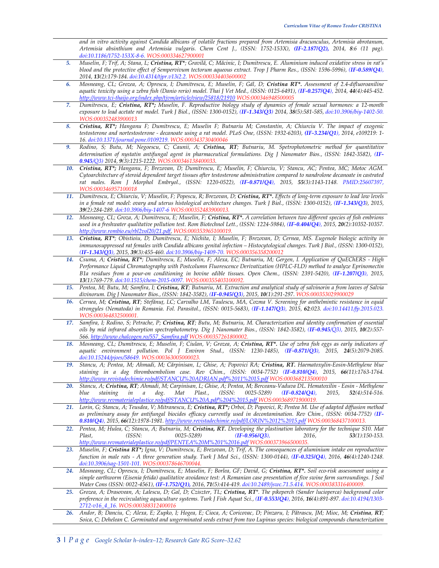*and in vitro activity against Candida albicans of volatile fractions prepared from Artemisia dracunculus, Artemisia abrotanum, Artemisia absinthium and Artemisia vulgaris. Chem Cent J., (ISSN: 1752-153X), (IF-2.187/Q2), 2014, 8:6 (11 pag). doi:10.1186/1752-153X-8-6. WOS:000334627900001*

- *5. Muselin, F; Trif, A; Stana, L; Cristina, RT\*; Gravilă, C; Măcinic, I; Dumitrescu, E. Aluminium induced oxidative stress in rat's blood and the protective effect of Sempervivum tectorum aqueous extract. Trop J Pharm Res., (ISSN: 1596-5996), (IF-0.589/Q4), 2014, 13(2):179-184. doi:10.4314/tjpr.v13i2.2. WOS:000334403600002*
- *6. Mosneang, CL; Grozea, A; Oprescu, I; Dumitrescu, E; Muselin, F; Gál, D; Cristina RT\*. Assessment of 2.4-difluoroaniline aquatic toxicity using a zebra fish (Danio rerio) model. Thai J Vet Med., (ISSN: 0125-6491), (IF-0.257/Q4), 2014, 44(4):445-452. http://www.tci-thaijo.org/index.php/tjvm/article/view/25818/21910 WOS:000346948500005*
- *7. Dumitrescu, E; Cristina, RT\*; Muselin, F. Reproductive biology study of dynamics of female sexual hormones: a 12-month exposure to lead acetate rat model. Turk J Biol., (ISSN: 1300-0152), (IF-1.343/Q3) 2014, 38(5):581-585, doi:10.3906/biy-1402-50. WOS:000352483900013*
- *8. Cristina, RT\*; Hanganu F; Dumitrescu, E; Muselin F; Butnariu M; Constantin, A; Chiurciu V. The impact of exogenic testosterone and nortestosterone - decanoate using a rat model. PLoS One, (ISSN: 1932-6203), (IF-3.234/Q1), 2014, e109219: 1- 16. doi:10.1371/journal.pone.0109219. WOS:000343730400046*
- *9. Rodino, S; Butu, M; Negoescu, C; Caunii, A; Cristina, RT; Butnariu, M. Spetrophotometric method for quantitative determination of nystatin antifungal agent in pharmaceutical formulations. Dig J Nanomater Bios., (ISSN: 1842-3582), (IF-0.945/Q3) 2014, 9(3):1215-1222. WOS:000346138400033.*
- *10. Cristina, RT\*; Hanganu, F; Brezovan, D; Dumitrescu, E; Muselin, F; Chiurciu, V; Stancu, AC; Pentea, MC; Motoc AGM. Cytoarchitecture of steroid dependent target tissues after testosterone administration compared to nandrolone decanoate in castrated rat males. Rom J Morphol Embryol., (ISSN: 1220-0522), (IF-0.871/Q4), 2015, 55(3):1143-1148. PMID:25607397, WOS:000346957100018*
- 11. *Dumitrescu, E; Chiurciu, V; Muselin, F; Popescu, R; Brezovan, D; Cristina, RT\*. Effects of long-term exposure to lead low levels in a female rat model: ovary and uterus histological architecture changes. Turk J Biol., (ISSN: 1300-0152), (IF-1.343/Q3), 2015, 39(2):284-289. doi:10.3906/biy-1407-6 WOS:000352483900013.*
- *12. Mosneang, CL; Groza, A; Dumitrescu, E; Muselin, F; Cristina, RT\*. A correlation between two different species of fish embrions used in a freshwater qualitative pollution test. Rom Biotechnol Lett., (ISSN: 1224-5984), (IF-0.404/Q4), 2015, 20(2):10352-10357. http://www.rombio.eu/rbl2vol20/21.pdf, WOS:000353965100019.*
- *13. Cristina, RT\*; Obistioiu, D; Dumitrescu, E; Nichita, I; Muselin, F; Brezovan, D; Cernea, MS. Eugenole biologic activity in immunosuppressed rat females with Candida albicans genital infection – Histocytological changes. Turk J Biol., (ISSN: 1300-0152), (IF-1.343/Q3), 2015, 39(3):455-460. doi:10.3906/biy-1409-70. WOS:000356358200012*
- *14. Csuma, A; Cristina, RT\*; Dumitrescu, E; Muselin, F; Alexa, EC; Butnariu, M; Gergen, I. Application of QuEChERS High Performance Liquid Chromatography with Postcolumn Fluorescence Derivatization (HPLC-FLD) method to analyze Eprinomectin B1a residues from a pour-on conditioning in bovine edible tissues. Open Chem., (ISSN: 2391-5420), (IF-1.207/Q3), 2015, 13(1):769-779. doi:10.1515/chem-2015-0097. WOS:000355403100092.*
- *15. Pentea, M; Butu, M; Samfira, I; Cristina, RT; Butnariu, M. Extraction and analytical study of salvinorin a from leaves of Salvia divinorum. Dig J Nanomater Bios., (ISSN: 1842-3582), (IF-0.945/Q3), 2015, 10(1):291-297. WOS:000353029900029*
- *16. Cernea, M; Cristina, RT; Stefănuț, LC; Carvalho LM, Taulescu, MA, Cozma V. Screening for anthelmintic resistance in equid strongyles (Nematoda) in Romania. Fol. Parasitol., (ISSN: 0015-5683), (IF-1.147/Q3), 2015, 62:023. doi:10.14411/fp.2015.023. WOS:000364832500001.*
- *17. Samfira, I; Rodino, S; Petrache, P; Cristina, RT; Butu, M; Butnariu, M. Characterization and identity confirmation of essential oils by mid infrared absorption spectrophotometry. Dig J Nanomater Bios., (ISSN: 1842-3582), (IF-0.945/Q3), 2015, 10(2):557- 566. http://www.chalcogen.ro/557\_Samfira.pdf WOS:000357261800002.*
- *18. Mosneang, CL; Dumitrescu, E; Muselin, F; Ciulan, V; Grozea, A; Cristina, RT\*. Use of zebra fish eggs as early indicators of aquatic environment pollution. Pol J Environ Stud., (ISSN: 1230-1485), (IF-0.871/Q3), 2015, 24(5):2079-2085. doi:10.15244/pjoes/58649. WOS:000363005000023.*
- *19. Stancu, A; Pentea, M; Ahmadi, M; Cărpinisan, L; Ghise, A; Popovici RA; Cristina, RT. Haematoxylin-Eosin-Methylene blue staining in a dog thromboembolism case. Rev Chim., (ISSN: 0034-7752) (IF-0.810/Q4), 2015, 66(11):1763-1764. http://www.revistadechimie.ro/pdf/STANCU%20ADRIAN.pdf%2011%2015.pdf WOS:000368213500010*
- *20. Stancu, A; Cristina, RT; Ahmadi, M; Carpinisan, L; Ghise, A; Pentea, M; Berceanu-Vaduva DL. Hematoxilin Eosin Methylene blue staining in a dog. Mat Plast., (ISSN: 0025-5289) (IF-0.824/Q4), 2015, 52(4):514-516. http://www.revmaterialeplastice.ro/pdf/STANCU%20A.pdf%204%2015.pdf WOS:000368971900019.*
- *21. Lorin, G; Stancu, A; Teusdea, V; Mitranescu, E; Cristina, RT\*; Orboi, D; Popovici, R; Pentea M. Use of adapted diffusion method*  as preliminary assay for antifungal biocides efficacy currently used in decontamination. Rev Chim., (ISSN: 0034-7752) (IF-*0.810/Q4), 2015, 66(12):1978-1981. http://www.revistadechimie.ro/pdf/LORIN%2012%2015.pdf WOS:000368437100013.*
- *22. Pentea, M; Hulea, C; Stancu, A; Butnariu, M; Cristina, RT. Developing the plastination laboratory for the technique S10. Mat Plast, (ISSN: 0025-5289) (IF-0.956/Q3), 2016, 53(1):150-153. http://www.revmaterialeplastice.ro/pdf/PENTEA%20M%201%2016.pdf WOS:000373966500035.*
- *23. Muselin, F; Cristina RT\*; Igna, V; Dumitrescu, E; Brezovan, D; Trif, A. The consequences of aluminium intake on reproductive function in male rats - A three generation study. Turk J Med Sci., (ISSN: 1300-0144), (IF-0.325/Q4), 2016, 46(4):1240-1248. doi:10.3906/sag-1501-101. WOS:000378646700044.*
- *24. Mosneang, CL; Oprescu, I; Dumitrescu, E; Muselin, F; Borlea, GF; David, G; Cristina, RT\*. Soil eco-risk assessment using a simple earthworm (Eisenia fetida) qualitative avoidance test: A Romanian case presentation of five swine farm surroundings. J Soil Water Cons (ISSN: 0022-4561), (IF-1.752/Q1), 2016, 71(5):414-419. doi:10.2489/jswc.71.5.414. WOS:000383316400009.*
- *25. Grozea, A; Drasovean, A; Lalescu, D; Gal, D; Cziszter, TL; Cristina, RT\*. The pikeperch (Sander lucioperca) background color preference in the recirculating aquaculture systems. Turk J Fish Aquat Sci., (IF-0.553/Q4), 2016, 16(4):891-897. doi:10.4194/1303- 2712-v16\_4\_16. WOS:000388312400016*
- *26. Andor, B; Danciu, C; Alexa, E; Zupko, I; Hogea, E; Cioca, A; Coricovac, D; Pinzaru, I; Pătrascu, JM; Mioc, M; Cristina, RT; Soica, C; Dehelean C. Germinated and ungerminated seeds extract from two Lupinus species: biological compounds characterization*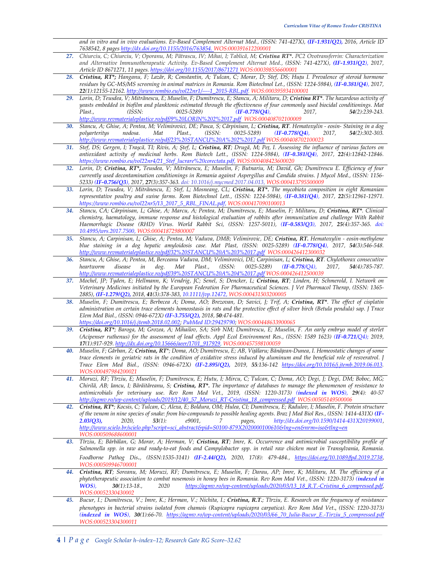*and in vitro and in vivo evaluations. Ev-Based Complement Alternat Med., (ISSN: 741-427X), (IF-1.931/Q2), 2016, Article ID 7638542, 8 pages http://dx.doi.org/10.1155/2016/763854. WOS:000391612200001*

- *27. Chiurciu, C; Chiurciu, V; Oporanu, M; Pătrascu, IV; Mihai, I; Tablică, M; Cristina RT\*. PC2 Ovotransferrin: Characterization and Alternative Immunotherapeutic Activity. Ev-Based Complement Alternat Med., (ISSN: 741-427X), (IF-1.931/Q2), 2017, Article ID 8671271, 11 pages. https://doi.org/10.1155/2017/8671271 WOS:000398556600001*
- *28. Cristina, RT\*; Hanganu, F; Lazăr, R; Constantin, A; Tulcan, C; Morar, D; Stef, DS; Huțu I. Prevalence of steroid hormone residues by GC-MS/MS screening in animal matrices in Romania. Rom Biotechnol Let., (ISSN: 1224-5984), (IF-0.381/Q4), 2017, 22(1):12155-12162. http://www.rombio.eu/vol22nr1/----1\_2015-RBL.pdf. WOS:000395934100001*
- *29. Lorin, D; Teusdea, V; Mitrănescu, E; Muselin, F; Dumitrescu, E; Stancu, A; Militaru, D; Cristina RT\*. The hazardous activity of yeasts embedded in biofilm and planktonic estimated through the effectiveness of four commonly used biocidal conditionings. Mat Plast., (ISSN: 0025-5289) (IF-0.778/Q4), 2017, 54(2):239-243. http://www.revmaterialeplastice.ro/pdf/9%20LORIN%202%2017.pdf WOS:000408702100009*
- *30. Stancu, A; Ghise, A; Pentea, M; Velimirovici, DE; Pasca, S; Cărpinisan, L; Cristina, RT. Hematoxylin eosin- Staining in a dog podosa. Mat Plast., (ISSN: 0025-5289) (IF-0.778/Q4), 2017, http://www.revmaterialeplastice.ro/pdf/23%20STANCU%20A%202%2017.pdf WOS:000408702100023*
- 31. Stef, DS; Gergen, I; Trașcă, TI; Rivis, A; Ștef, L; Cristina, RT; Drugă, M; Peț, I. Assessing the influence of various factors on *antioxidant activity of medicinal herbs. Rom Biotech Lett., (ISSN: 1224-5984), (IF-0.381/Q4), 2017, 22(4):12842-12846. https://www.rombio.eu/vol22nr4/21\_Stef\_lucrare%20corectata.pdf, WOS:000408423600020*
- *32. Lorin, D; Cristina, RT\*, Teusdea, V; Mitrănescu, E; Muselin, F; Butnariu, M; David, Gh; Dumitrescu E. Efficiency of four currently used decontamination conditionings in Romania against Aspergillus and Candida strains. J Mycol Med., (ISSN: 1156- 5233) (IF-0.756/Q3), 2017, 27(3):357-363. doi: 10.1016/j.mycmed.2017.04.013, WOS:000413795500009*
- *33. Lorin, D; Teusdea, V; Mitrănescu, E; Stef, L; Mosneang, CL; Cristina, RT\*. The mycobiota composition in eight Romanian representative poultry and swine farms. Rom Biotechnol Lett., (ISSN: 1224-5984), (IF-0.381/Q4), 2017, 22(5):12961-12971. https://www.rombio.eu/vol22nr5/13\_2017\_5\_RBL\_FINAL.pdf, WOS:000417090100013*
- *34. Stancu, CA; Cărpinisan, L; Ghise, A; Marcu, A; Pentea, M; Dumitrescu, E; Muselin, F; Militaru, D; Cristina, RT\*. Clinical chemistry, haematology, immune response and histological evaluation of rabbits after immunization and challenge With Rabbit Haemorrhagic Disease (RHD) Virus. World Rabbit Sci, (ISSN: 1257-5011), (IF-0.583/Q3), 2017, 25(4):357-365. doi: 10.4995/wrs.2017.7500, WOS:000418729800007*
- *35. Stancu, A; Carpinisan, L; Ghise, A; Pentea, M; Vaduva, DMB; Velimirovic, DE; Cristina, RT. Hematoxylin eosin-methylene blue staining in a dog hepatic amyloidosis case. Mat Plast, (ISSN: 0025-5289) (IF-0.778/Q4), 2017, 54(3):546-548. http://www.revmaterialeplastice.ro/pdf/32%20STANCU%20A%203%2017.pdf WOS:000426412300032*
- *36. Stancu, A; Ghise, A; Pentea, M, Berceanu Vaduva, DM; Velimirovici, DE; Carpinisan, L; Cristina, RT. Chylothorax consecutive heartworm disease in dog. Mat Plast., (ISSN: 0025-5289) (IF-0.778/Q4), 2017, 54(4):785-787. http://www.revmaterialeplastice.ro/pdf/39%20STANCU%20A%204%2017.pdf WOS:000426412500039*
- *37. Mochel, JP; Tyden, E; Hellmann, K; Vendrig, JC; Senel, S; Dencker, L; Cristina, RT; Linden, H; Schmerold, I. Network on Veterinary Medicines initiated by the European Federation For Pharmaceutical Sciences. J Vet Pharmacol Therap, (ISSN: 1365- 2885), (IF-1.279/Q2), 2018, 41(3):378-383, 10.1111/jvp.12472, WOS:000431503200005*
- *38. Muselin, F; Dumitrescu, E; Berbecea A; Doma, AO; Brezovan, D; Savici, J; Trif, A; Cristina, RT\*. The effect of cisplatin administration on certain trace elements homeostasis in rats and the protective effect of silver birch (Betula pendula) sap. J Trace Elem Med Biol., (ISSN: 0946-672X) (IF-3.755/Q2), 2018, 50:474-481. https://doi.org/10.1016/j.jtemb.2018.02.002; PubMed ID:29429790; WOS:000448633900065*
- *39. Cristina, RT\*; Baroga, M; Grozea, A; Mihailov, SA; Sirb NM; Dumitrescu, E; Muselin, F. An early embryo model of sterlet (Acipenser ruthenus) for the assessment of lead effects. Appl Ecol Environment Res., (ISSN: 1589 1623) (IF-0.721/Q4); 2019, 17(1):917-929. http://dx.doi.org/10.15666/aeer/1701\_917929, WOS:000457598100059*
- *40. Muselin, F; Gârban, Z; Cristina, RT\*; Doma, AO; Dumitrescu, E; AB, Vițălaru; Bănățean-Dunea, I. Homeostatic changes of some trace elements in geriatric rats in the condition of oxidative stress induced by aluminum and the beneficial role of resveratrol. J Trace Elem Med Biol., (ISSN: 0946-672X) (IF-2.895/Q2), 2019, 55:136-142 https://doi.org/10.1016/j.jtemb.2019.06.013. WOS:000497984200021*
- *41. Moruzi, RF; Tîrziu, E; Muselin, F; Dumitrescu, E; Hutu, I; Mircu, C; Tulcan, C; Doma, AO; Degi, J; Degi, DM; Boboc, MG; Chirilă, AB; Iancu, I; Bărăităreanu, S; Cristina, RT\*. The importance of databases to manage the phenomenon of resistance to antimicrobials for veterinary use. Rev Rom Med Vet., 2019, (ISSN: 1220-3173) (indexed in WOS), 29(4): 40-57 http://agmv.ro/wp-content/uploads/2019/12/40\_57\_Moruzi\_RT-Cristina\_18\_compressed.pdf WOS:00505149500006*
- *42. Cristina, RT\*; Kocsis, C; Tulcan, C; Alexa, E; Boldura, OM; Hulea, CI; Dumitrescu, E; Radulov, I; Muselin, F. Protein structure of the venom in nine species of snake: from bio-compounds to possible healing agents. Braz J Med Biol Res., (ISSN: 1414-431X) (IF-2.03/Q3), 2020, 53(1): e9001, 7 pages, http://dx.doi.org/10.1590/1414-431X20199001, http://www.scielo.br/scielo.php?script=sci\_abstract&pid=S0100-879X2020000100610&lng=en&nrm=iso&tlng=en WOS:000509688600001*
- *43. Tîrziu, E; Bărbălan, G; Morar, A; Herman, V; Cristina, RT; Imre, K. Occurrence and antimicrobial susceptibility profile of Salmonella spp. in raw and ready-to-eat foods and Campylobacter spp. in retail raw chicken meat in Transylvania, Romania. Foodborne Pathog Dis*.*, (ISSN:1535-3141) (IF-2.44/Q2), 2020, 17(8): 479-484., https://doi.org/10.1089/fpd.2019.2738, WOS:000509946700001*
- *44. Cristina, RT; Soreanu, M; Moruzi, RF; Dumitrescu, E; Muselin, F; Darau, AP; Imre, K; Militaru, M. The efficiency of a phytotherapeutic association to combat nosemosis in honey bees in Romania. Rev Rom Med Vet., (ISSN: 1220-3173) (indexed in WOS), 30(1):13-18., 2020 https://agmv.ro/wp-content/uploads/2020/03/13\_18\_R.T.-Cristina\_6\_compressed.pdf, WOS:00052330430002*
- *45. Bucur, I.; Dumitrescu, V.; Imre, K.; Herman, V.; Nichita, I.; Cristina, R.T.; Tîrziu, E. Research on the frequency of resistance phenotypes in bacterial strains isolated from chamois (Rupicapra rupicapra carpatica). Rev Rom Med Vet*., *(ISSN: 1220-3173) (indexed in WOS), 30(1):66-70. https://agmv.ro/wp-content/uploads/2020/03/66\_70\_Iulia-Bucur\_E.-Tirziu\_5\_compressed.pdf WOS:000523304300011*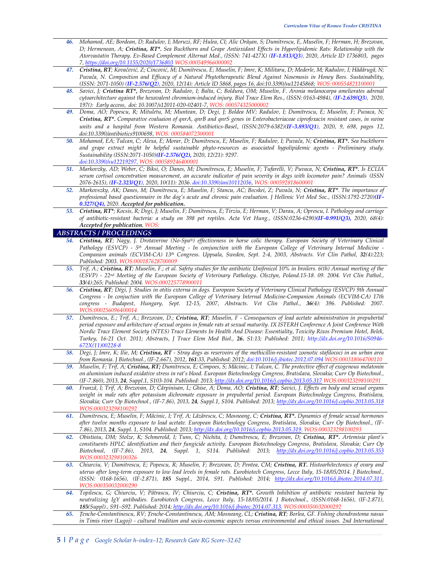- *46. Mohamed, AE; Bordean, D; Radulov, I; Moruzi, RF; Hulea, CI; Alic Orășan, S; Dumitrescu, E, Muselin, F; Herman, H; Brezovan, D; Hermenean, A; Cristina, RT\*. Sea Buckthorn and Grape Antioxidant Effects in Hyperlipidemic Rats: Relationship with the Atorvastatin Therapy. Ev-Based Complement Alternat Med., (ISSN: 741-427X) (IF-1.813/Q3), 2020, Article ID 1736803, pages 7, https://doi.org/10.1155/2020/1736803 WOS:000549966000002*
- 47. Cristina, RT; Kovačević, Z; Cincović, M; Dumitrescu, E; Muselin, F; Imre, K; Militaru, D; Mederle, M; Radulov, I; Hădărugă, N; *Puvača, N. Composition and Efficacy of a Natural Phytotherapeutic Blend Against Nosemosis in Honey Bees. Sustainability, (ISSN: 2071-1050) (IF-2.576/Q2), 2020, 12(14): Article ID 5868, pages 16, doi:10.3390/su12145868; WOS: 000554821100001*
- *48. Savici, J; Cristina RT\*, Brezovan, D; Radulov, I; Balta, C; Boldura, OM; Muselin, F. Aronia melanocarpa ameliorates adrenal cytoarchitecture against the hexavalent chromium-induced injury. Biol Trace Elem Res., (ISSN: 0163-4984), (IF-2.639/Q3), 2020, 197(): Early access, doi: 10.1007/s12011-020-02401-7, WOS: 000574325000002*
- *49. Doma, AO; Popescu, R; Mituletu, M; Muntean, D; Degi, J; Boldea MV; Radulov, I; Dumitrescu, E; Muselin, F; Puvaca, N; Cristina, RT\*. Comparative evaluaion of qnrA, qnrB and qnrS genes in Enterobacteriaceae ciprofoxacin resistant cases, in swine units and a hospital from Western Romania. Antibiotics-Basel*, *(ISSN:2079-6382)(IF-3.893/Q1), 2020, 9, 698, pages 12, doi:10.3390/antibiotics9100698, WOS: 000584072300001*
- *50. Mohamed, EA; Tulcan, C; Alexa, E; Morar, D; Dumitrescu, E; Muselin, F; Radulov, I; Puvača, N; Cristina, RT\*. Sea buckthorn and grape extract might be helpful sustainable phyto-resources as associated hypolipidemic agents - Preliminary study. Sustainability (ISSN:2071-1050)(IF-2.576/Q2), 2020, 12(21): 9297. doi:10.3390/su12219297, WOS: 000589246400001*
- *51. Markovzky, AD; Weber, C; Biksi, O; Danes, M; Dumitrescu, E; Muselin, F; Tufarelli, V; Puvaca, N; Cristina, RT\*. Is ECLIA serum cortisol concentration measurement, an accurate indicator of pain severity in dogs with locomotor pain? Animals (ISSN 2076-2615), (IF-2.323/Q1), 2020, 10(11): 2036. doi:10.3390/ani10112036, WOS: 000592818600001*
- *52. Markovszky, AK; Danes, M; Dumitrescu, E; Muselin, F; Stancu, AC; Becskei, Z; Puvača, N; Cristina, RT\*. The importance of professional based questionnaire in the dog's acute and chronic pain evaluation. J Hellenic Vet Med Soc., (ISSN:1792-2720)(IF-0.327/Q4), 2020. Accepted for publication***.**
- *53. Cristina, RT\*; Kocsis, R; Degi, J; Muselin, F; Dumitrescu, E; Tirziu, E; Herman, V; Darau, A; Oprescu, I. Pathology and carriage of antibiotic-resistant bacteria: a study on 398 pet reptiles. Acta Vet Hung., (ISSN:0236-6290)(IF-0.991/Q3), 2020, 68(4): Accepted for publication, WOS:*

#### *ABSTRACTS / PROCEEDINGS*

- *54. Cristina, RT; Nagy, J. Drotaverine (No-Spa®) effectiveness in horse colic therapy. European Society of Veterinary Clinical Pathology (ESVCP) - 5th Annual Meeting - In conjunction with the European College of Veterinary Internal Medicine - Companion animals (ECVIM-CA) 13<sup>th</sup> Congress. Uppsala, Sweden, Sept. 2-4, 2003, Abstracts. Vet Clin Pathol, 32(4):223; Published: 2003. WOS:000187628700009*
- *55. Trif, A.; Cristina, RT; Muselin, F.; et al. Safety studies for the antibiotic Unifenicol 10% in broilers. 6(th) Annual meeting of the (ESVP) - 22nd Meeting of the European Society of Veterinary Pathology. Olsztyn, Poland.15-18. 09. 2004. Vet Clin Pathol., 33(4):265; Published: 2004. WOS:000225778900011*
- *56. Cristina, RT; Dégi, J. Studies in otitis externa in dogs. European Society of Veterinary Clinical Pathology (ESVCP) 9th Annual Congress - In conjuction with the European College of Veterinary Internal Medicine-Companion Animals (ECVIM-CA) 17th congress - Budapest, Hungary, Sept. 12-15, 2007, Abstracts. Vet Clin Pathol., 36(4): 396. Published: 2007. WOS:000256096400014*
- *57. Dumitrescu, E.; Trif, A.; Brezovan, D.; Cristina, RT; Muselin, F Consequences of lead acetate administration in prepubertal period exposure and arhitecture of sexual organs in female rats at sexual maturity. IX ISTERH Conference A Joint Conference With Nordic Trace Element Society (NTES) Trace Elements In Health And Disease: Essentiality, Toxicity Rixos Premium Hotel, Belek, Turkey, 16-21 Oct. 2011; Abstracts, J Trace Elem Med Biol., 26. S1:13; Published: 2011; http://dx.doi.org/10.1016/S0946- 672X(11)00228-8*
- *58. Degi, J; Imre, K; Ilie, M; Cristina, RT - Stray dogs as reservoirs of the methicillin-resistant zoonotic stafilococi in an urban area from Romania. J Biotechnol., (IF-2.667), 2012, 161:33, Published: 2012; doi:10.1016/j.jbiotec.2012.07.094 WOS:000318064700110*
- *59. Muselin, F; Trif, A; Cristina, RT; Dumitrescu, E; Cimpoes, S; Măcinic, I; Tulcan, C. The protective effect of exogenous melatonin on aluminium induced oxidative stress in rat's blood. European Biotechnology Congress, Bratislava, Slovakia; Curr Op Biotechnol., (IF-7.860), 2013, 24, Suppl.1, S103-104. Published: 2013; http://dx.doi.org/10.1016/j.copbio.2013.05.317 WOS:000323298100291*
- *60. Frunză, I; Trif, A; Brezovan, D; Cărpinisan, L; Ghise, A; Doma, AO; Cristina, RT; Savici, J. Effects on body and sexual organs weight in male rats after potassium dichromate exposure in prepubertal period. European Biotechnology Congress, Bratislava, Slovakia; Curr Op Biotechnol., (IF-7.86), 2013, 24, Suppl.1, S104. Published: 2013; http://dx.doi.org/10.1016/j.copbio.2013.05.318 WOS:000323298100292*
- *61. Dumitrescu, E; Muselin, F; Măcinic, I; Trif, A; Lăzărescu, C; Mosneang, C; Cristina, RT\*. Dynamics of female sexual hormones after twelve months exposure to lead acetate. European Biotechnology Congress, Bratislava, Slovakia; Curr Op Biotechnol., (IF-7.86), 2013, 24, Suppl. 1, S104. Published: 2013; http://dx.doi.org/10.1016/j.copbio.2013.05.319. WOS:000323298100293*
- *62. Obistioiu, DM; Stolze, K; Schmerold, I; Tuns, C; Nichita, I; Dumitrescu, E; Brezovan, D; Cristina, RT\*. Artemisia plant's constituents HPLC identification and their fungicide activity. European Biotechnology Congress, Bratislava, Slovakia; Curr Op Biotechnol, (IF-7.86), 2013, 24, Suppl. 1, S114. Published: 2013; http://dx.doi.org/10.1016/j.copbio.2013.05.353 WOS:000323298100326*
- *63. Chiurciu, V; Dumitrescu, E; Popescu, R; Muselin, F; Brezovan, D; Pentea, CM; Cristina, RT. Histoarhitectonics of ovary and uterus after long-term exposure to low lead levels in female rats. Eurobiotech Congress, Lecce Italy, 15-18/05/2014. J Biotechnol., (ISSN: 0168-1656), (IF-2.871), 185 Suppl., 2014, S91. Published: 2014; http://dx.doi.org/10.1016/j.jbiotec.2014.07.311. WOS:000350032000290*
- *64. Topilescu, G; Chiurciu, V; Pătrascu, IV; Chiurciu, C; Cristina, RT\*. Growth Inhibition of antibiotic resistant bacteria by neutralizing IgY antibodies. Eurobiotech Congress, Lecce Italy, 15-18/05/2014. J Biotechnol., (ISSN:0168-1656), (IF-2.871), 185(Suppl)., S91–S92. Published: 2014; http://dx.doi.org/10.1016/j.jbiotec.2014.07.313. WOS:000350032000292*
- *65. Țenche-Constantinescu, RV; Țenche-Constantinescu, AM; Mosneang, CL; Cristina, RT; Borlea, GF. Fishing chondrostoma nasus in Timis river (Lugoj) - cultural tradition and socio-economic aspects versus environmental and ethical issues. 2nd International*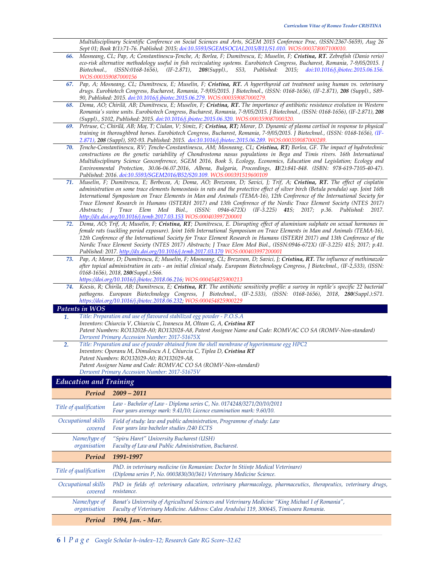*Multidisciplinary Scientific Conference on Social Sciences and Arts, SGEM 2015 Conference Proc, (ISSN:2367-5659), Aug 26 Sept 01; Book 1(1):71-76. Published: 2015; doi:10.5593/SGEMSOCIAL2015/B11/S1.010. WOS:000378007100010.*

- *66. Mosneang, CL; Pap, A; Constantinescu-Țenche, A; Borlea, F; Dumitrescu, E; Muselin, F; Cristina, RT. Zebrafish (Danio rerio) eco-risk alternative methodology useful in fish recirculating systems. Eurobiotech Congress, Bucharest, Romania, 7-9/05/2015. J Biotechnol., (ISSN:0168-1656), (IF-2.871), 208(Suppl)., S53, Published: 2015; doi:10.1016/j.jbiotec.2015.06.156. WOS:000359087000156*
- *67. Pap, A; Mosneang, CL; Dumitrescu, E; Muselin, F; Cristina, RT. A hyperthyroid cat treatment using human vs. veterinary drugs. Eurobiotech Congress, Bucharest, Romania, 7-9/05/2015. J Biotechnol., (ISSN: 0168-1656), (IF-2.871), 208 (Suppl)., S89- 90, Published: 2015. doi:10.1016/j.jbiotec.2015.06.279. WOS:000359087000279.*
- *68. Doma, AO; Chirilă, AB; Dumitrescu, E; Muselin, F; Cristina, RT. The importance of antibiotic resistance evolution in Western Romania's swine units. Eurobiotech Congress, Bucharest, Romania, 7-9/05/2015. J Biotechnol., (ISSN: 0168-1656), (IF-2.871), 208 (Suppl)., S102, Published: 2015. doi:10.1016/j.jbiotec.2015.06.320. WOS:000359087000320.*
- *69. Petruse, C; Chirilă, AB; Moț, T; Ciulan, V; Simiz, F; Cristina, RT; Morar, D. Dynamic of plasma cortisol in response to physical training in thoroughbred horses. Eurobiotech Congress, Bucharest, Romania, 7-9/05/2015. J Biotechnol., (ISSN: 0168-1656), (IF-2.871), 208 (Suppl), S92-93. Published: 2015. doi:10.1016/j.jbiotec.2015.06.289. WOS:000359087000289.*
- *70. Țenche-Constantinescu, RV; Țenche-Constantinescu, AM; Mosneang, CL; Cristina, RT; Borlea, GF. The impact of hydrotechnic constructions on the genetic variability of Chondrostoma nasus populations in Bega and Timis rivers. 16th International Multidisciplinary Science Geoconference, SGEM 2016, Book 5, Ecology, Economics, Education and Legislation; Ecology and Environmental Protection, 30.06-06.07.2016, Albena, Bulgaria, Proceedings, II(2):841-848. (ISBN: 978-619-7105-40-47). Published: 2016. doi:10.5593/SGEM2016/B52/S20.109. WOS:000391519600109*
- *71. Muselin, F; Dumitrescu, E; Berbecea, A; Doma, AO; Brezovan, D; Savici, J; Trif, A; Cristina, RT. The effect of cisplatin administration on some trace elements homeostasis in rats and the protective effect of silver birch (Betula pendula) sap. Joint 16th International Symposium on Trace Elements in Man and Animals (TEMA-16), 12th Conference of the International Society for Trace Element Research in Humans (ISTERH 2017) and 13th Conference of the Nordic Trace Element Society (NTES 2017) Abstracts; J Trace Elem Med Biol., (ISSN: 0946-672X) (IF-3.225) 41S; 2017; p.36. Published: 2017. http://dx.doi.org/10.1016/j.temb.2017.03.153 WOS:000403997200001*
- *72. Doma, AO; Trif, A; Muselin, F; Cristina, RT; Dumitrescu, E. Disrupting effect of aluminium sulphate on sexual hormones in female rats (suckling period exposure). Joint 16th International Symposium on Trace Elements in Man and Animals (TEMA-16), 12th Conference of the International Society for Trace Element Research in Humans (ISTERH 2017) and 13th Conference of the Nordic Trace Element Society (NTES 2017) Abstracts; J Trace Elem Med Biol., (ISSN:0946-672X) (IF-3.225) 41S; 2017; p.41. Published: 2017. http://dx.doi.org/10.1016/j.temb.2017.03.170 WOS:000403997200001*
- *73. Pap, A; Morar, D; Dumitrescu, E; Muselin, F; Mosneang, CL; Brezovan, D; Savici, J; Cristina, RT. The influence of methimazole after topical administration in cats - an initial clinical study. European Biotechnology Congress, J Biotechnol., (IF-2,533), (ISSN: 0168-1656), 2018, 280(Suppl.):S66.* 
	- *https://doi.org/10.1016/j.jbiotec.2018.06.216; WOS:000454825900213*

*Patent Assignee Name and Code: ROMVAC CO SA (ROMV-Non-standard)* 

*Patent Numbers: RO132029-A0; RO132029-A8,* 

*74. Kocsis, R; Chirila, AB; Dumitrescu, E; Cristina, RT. The antibiotic sensitivity profile: a survey in reptile's specific 22 bacterial*  pathogens. European Biotechnology Congress, J Biotechnol., (IF-2.533), (ISSN: 0168-1656), 2018, 280(Suppl.):S71. *https://doi.org/10.1016/j.jbiotec.2018.06.232; WOS:000454825900229*

#### *Patents in WOS*

*1. Title: Preparation and use of flavoured stabilized egg powder - P.O.S.A Inventors: Chiurciu V, Chiurciu C, Ivanescu M, Oltean G, A, Cristina RT Patent Numbers: RO132028-A0; RO132028-A8, Patent Assignee Name and Code: ROMVAC CO SA (ROMV-Non-standard) Derwent Primary Accession Number: 2017-51675X 2. Title: Preparation and use of powder obtained from the shell membrane of hyperimmune egg HPC2*  Inventors: Oporanu M, Dimulescu A I, Chiurciu C, Tiplea D, Cristina RT

### *Derwent Primary Accession Number: 2017-51675V Education and Training*

| $L$ <i>www.www.with.induity</i> |                                                                                                                                                                                             |
|---------------------------------|---------------------------------------------------------------------------------------------------------------------------------------------------------------------------------------------|
| Period                          | $2009 - 2011$                                                                                                                                                                               |
| Title of qualification          | Law - Bachelor of Law - Diploma series C, No. 0174248/3271/20/10/2011<br>Four years average mark: 9.41/10; Licence examination mark: 9.60/10.                                               |
| Occupational skills<br>covered  | Field of study: law and public administration, Programme of study: Law<br>Four years law bachelor studies /240 ECTS                                                                         |
| Name/type of<br>organisation    | "Spiru Haret" University Bucharest (USH)<br>Faculty of Law and Public Administration, Bucharest.                                                                                            |
| Period                          | 1991-1997                                                                                                                                                                                   |
| Title of qualification          | PhD. in veterinary medicine (in Romanian: Doctor în Stiinte Medical Veterinare)<br>(Diploma series P, No. 0003830/30/361) Veterinary Medicine Science.                                      |
| Occupational skills<br>covered  | PhD in fields of: veterinary education, veterinary pharmacology, pharmaceutics, therapeutics, veterinary drugs,<br>resistance.                                                              |
| Name/type of<br>organisation    | Banat's University of Agricultural Sciences and Veterinary Medicine "King Michael I of Romania",<br>Faculty of Veterinary Medicine. Address: Calea Aradului 119, 300645, Timisoara Romania. |
| Period                          | 1994, Jan. - Mar.                                                                                                                                                                           |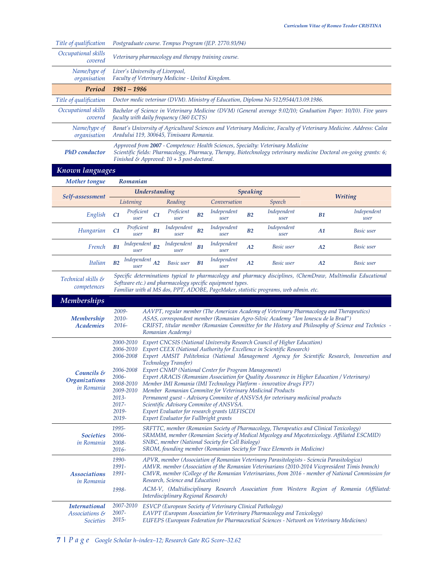| Title of qualification                              | Postgraduate course. Tempus Program (JEP. 2770.93/94)                                                                                                                                                                                                                                                                                                                                                                                                                     |                                                                                                                                                                                                                                                                                                                                                                                                                                                                                              |                                       |  |                |                                                           |                 |                                                                                                                                                    |                |                                                                                                             |
|-----------------------------------------------------|---------------------------------------------------------------------------------------------------------------------------------------------------------------------------------------------------------------------------------------------------------------------------------------------------------------------------------------------------------------------------------------------------------------------------------------------------------------------------|----------------------------------------------------------------------------------------------------------------------------------------------------------------------------------------------------------------------------------------------------------------------------------------------------------------------------------------------------------------------------------------------------------------------------------------------------------------------------------------------|---------------------------------------|--|----------------|-----------------------------------------------------------|-----------------|----------------------------------------------------------------------------------------------------------------------------------------------------|----------------|-------------------------------------------------------------------------------------------------------------|
| Occupational skills<br>covered                      | Veterinary pharmacology and therapy training course.                                                                                                                                                                                                                                                                                                                                                                                                                      |                                                                                                                                                                                                                                                                                                                                                                                                                                                                                              |                                       |  |                |                                                           |                 |                                                                                                                                                    |                |                                                                                                             |
| Name/type of<br>organisation                        | Liver's University of Liverpool,<br>Faculty of Veterinary Medicine - United Kingdom.                                                                                                                                                                                                                                                                                                                                                                                      |                                                                                                                                                                                                                                                                                                                                                                                                                                                                                              |                                       |  |                |                                                           |                 |                                                                                                                                                    |                |                                                                                                             |
| Period                                              | $1981 - 1986$                                                                                                                                                                                                                                                                                                                                                                                                                                                             |                                                                                                                                                                                                                                                                                                                                                                                                                                                                                              |                                       |  |                |                                                           |                 |                                                                                                                                                    |                |                                                                                                             |
| Title of qualification                              |                                                                                                                                                                                                                                                                                                                                                                                                                                                                           |                                                                                                                                                                                                                                                                                                                                                                                                                                                                                              |                                       |  |                |                                                           |                 | Doctor medic veterinar (DVM). Ministry of Education, Diploma No 512/9544/13.09.1986.                                                               |                |                                                                                                             |
| Occupational skills<br>covered                      |                                                                                                                                                                                                                                                                                                                                                                                                                                                                           | Bachelor of Science in Veterinary Medicine (DVM) (General average 9.02/10; Graduation Paper: 10/10). Five years<br>faculty with daily frequency (360 ECTS)                                                                                                                                                                                                                                                                                                                                   |                                       |  |                |                                                           |                 |                                                                                                                                                    |                |                                                                                                             |
| Name/type of<br>organisation                        | Banat's University of Agricultural Sciences and Veterinary Medicine, Faculty of Veterinary Medicine. Address: Calea<br>Aradului 119, 300645, Timisoara Romania.                                                                                                                                                                                                                                                                                                           |                                                                                                                                                                                                                                                                                                                                                                                                                                                                                              |                                       |  |                |                                                           |                 |                                                                                                                                                    |                |                                                                                                             |
| <b>PhD</b> conductor                                |                                                                                                                                                                                                                                                                                                                                                                                                                                                                           | Approved from 2007 - Competence: Health Sciences, Specialty: Veterinary Medicine<br>Scientific fields: Pharmacology, Pharmacy, Therapy, Biotechnology veterinary medicine Doctoral on-going grants: 6;<br>Finished & Approved: $10 + 3$ post-doctoral.                                                                                                                                                                                                                                       |                                       |  |                |                                                           |                 |                                                                                                                                                    |                |                                                                                                             |
| Known languages                                     |                                                                                                                                                                                                                                                                                                                                                                                                                                                                           |                                                                                                                                                                                                                                                                                                                                                                                                                                                                                              |                                       |  |                |                                                           |                 |                                                                                                                                                    |                |                                                                                                             |
| <b>Mother tongue</b>                                | Romanian                                                                                                                                                                                                                                                                                                                                                                                                                                                                  |                                                                                                                                                                                                                                                                                                                                                                                                                                                                                              |                                       |  |                |                                                           |                 |                                                                                                                                                    |                |                                                                                                             |
| Self-assessment                                     |                                                                                                                                                                                                                                                                                                                                                                                                                                                                           | Understanding                                                                                                                                                                                                                                                                                                                                                                                                                                                                                |                                       |  |                |                                                           | <b>Speaking</b> |                                                                                                                                                    | <b>Writing</b> |                                                                                                             |
|                                                     | Listening                                                                                                                                                                                                                                                                                                                                                                                                                                                                 |                                                                                                                                                                                                                                                                                                                                                                                                                                                                                              | Reading                               |  |                | Conversation                                              |                 | Speech                                                                                                                                             |                |                                                                                                             |
| English                                             | C1                                                                                                                                                                                                                                                                                                                                                                                                                                                                        | Proficient<br>user                                                                                                                                                                                                                                                                                                                                                                                                                                                                           | Proficient<br>C1<br>user              |  | B2             | Independent<br>user                                       | B <sub>2</sub>  | Independent<br>user                                                                                                                                | B1             | Independent<br>user                                                                                         |
| Hungarian                                           | C <sub>1</sub>                                                                                                                                                                                                                                                                                                                                                                                                                                                            | Proficient<br>user                                                                                                                                                                                                                                                                                                                                                                                                                                                                           | Independent<br>B1<br>user             |  | B <sub>2</sub> | Independent<br>user                                       | B <sub>2</sub>  | Independent<br>user                                                                                                                                | A1             | Basic user                                                                                                  |
| French                                              | B1                                                                                                                                                                                                                                                                                                                                                                                                                                                                        | Independent<br>user                                                                                                                                                                                                                                                                                                                                                                                                                                                                          | Independent<br>B <sub>2</sub><br>user |  | B1             | Independent<br>user                                       | A2              | Basic user                                                                                                                                         | A2             | Basic user                                                                                                  |
| <b>Italian</b>                                      | B <sub>2</sub>                                                                                                                                                                                                                                                                                                                                                                                                                                                            | Independent<br>user                                                                                                                                                                                                                                                                                                                                                                                                                                                                          | A2<br>Basic user                      |  | B1             | Independent<br>user                                       | A2              | Basic user                                                                                                                                         | A2             | Basic user                                                                                                  |
| Technical skills &<br>competences                   |                                                                                                                                                                                                                                                                                                                                                                                                                                                                           |                                                                                                                                                                                                                                                                                                                                                                                                                                                                                              |                                       |  |                | Software etc.) and pharmacology specific equipment types. |                 | Familiar with al MS dos, PPT, ADOBE, PageMaker, statistic programs, web admin. etc.                                                                |                | Specific determinations typical to pharmacology and pharmacy disciplines, (ChemDraw, Multimedia Educational |
| <b>Memberships</b>                                  |                                                                                                                                                                                                                                                                                                                                                                                                                                                                           |                                                                                                                                                                                                                                                                                                                                                                                                                                                                                              |                                       |  |                |                                                           |                 |                                                                                                                                                    |                |                                                                                                             |
| Membership<br><b>Academies</b>                      | 2009-<br>AAVPT, regular member (The American Academy of Veterinary Pharmacology and Therapeutics)<br>2010-<br>ASAS, correspondent member (Romanian Agro-Silvic Academy "Ion Ionescu de la Brad")<br>$2016 -$<br>CRIFST, titular member (Romanian Committee for the History and Philosophy of Science and Technics -<br>Romanian Academy)                                                                                                                                  |                                                                                                                                                                                                                                                                                                                                                                                                                                                                                              |                                       |  |                |                                                           |                 |                                                                                                                                                    |                |                                                                                                             |
| Councils $\&$                                       | 2000-2010<br>2006-2010<br>2006-2008<br>2006-2008                                                                                                                                                                                                                                                                                                                                                                                                                          |                                                                                                                                                                                                                                                                                                                                                                                                                                                                                              | Technology Transfer)                  |  |                | Expert CNMP (National Center for Program Management)      |                 | Expert CNCSIS (National University Research Council of Higher Education)<br>Expert CEEX (National Authority for Excellence in Scientific Research) |                | Expert AMSIT Politehnica (National Management Agency for Scientific Research, Innovation and                |
| Organizations<br>in Romania                         | $2013 -$<br>2017-<br>2019-<br>2019-                                                                                                                                                                                                                                                                                                                                                                                                                                       | 2006-<br>Expert ARACIS (Romanian Association for Quality Assurance in Higher Education / Veterinary)<br>2008-2010<br>Member IMI Romania (IMI Technology Platform - innovative drugs FP7)<br>2009-2010<br>Member Romanian Commitee for Veterinary Medicinal Products<br>Permanent guest - Advisory Commitee of ANSVSA for veterinary medicinal products<br>Scientific Advisory Commitee of ANSVSA.<br>Expert Evaluator for research grants UEFISCDI<br>Expert Evaluator for Fullbright grants |                                       |  |                |                                                           |                 |                                                                                                                                                    |                |                                                                                                             |
| <i>Societies</i><br>in Romania                      | 1995-<br>SRFTTC, member (Romanian Society of Pharmacology, Therapeutics and Clinical Toxicology)<br>$2006 -$<br>SRMMM, member (Romanian Society of Medical Mycology and Mycotoxicology. Affiliated ESCMID)<br>SNBC, member (National Society for Cell Biology)<br>2008-<br>SROM, founding member (Romanian Society for Trace Elements in Medicine)<br>$2016 -$                                                                                                            |                                                                                                                                                                                                                                                                                                                                                                                                                                                                                              |                                       |  |                |                                                           |                 |                                                                                                                                                    |                |                                                                                                             |
| <b>Associations</b><br>in Romania                   | 1990-<br>APVR, member (Association of Romanian Veterinary Parasitologists - Sciencia Parasitologica)<br>1991-<br>AMVR. member (Association of the Romanian Veterinarians (2010-2014 Vicepresident Timis branch)<br>1991-<br>CMVR, member (College of the Romanian Veterinarians, from 2016 - member of National Commission for<br>Research, Science and Education)<br>ACM-V, (Multidisciplinary Research Association from Western Region of Romania (Affiliated:<br>1998- |                                                                                                                                                                                                                                                                                                                                                                                                                                                                                              |                                       |  |                |                                                           |                 |                                                                                                                                                    |                |                                                                                                             |
| <b>International</b><br>Associations &<br>Societies | Interdisciplinary Regional Research)<br>2007-2010<br>ESVCP (European Society of Veterinary Clinical Pathology)<br>2007-<br>EAVPT (European Association for Veterinary Pharmacology and Toxicology)<br>2015-<br>EUFEPS (European Federation for Pharmaceutical Sciences - Network on Veterinary Medicines)                                                                                                                                                                 |                                                                                                                                                                                                                                                                                                                                                                                                                                                                                              |                                       |  |                |                                                           |                 |                                                                                                                                                    |                |                                                                                                             |